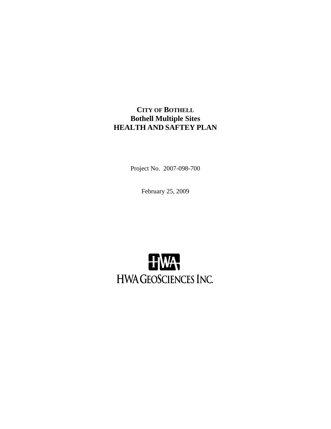**CITY OF BOTHELL Bothell Multiple Sites HEALTH AND SAFTEY PLAN** 

Project No. 2007-098-700

February 25, 2009

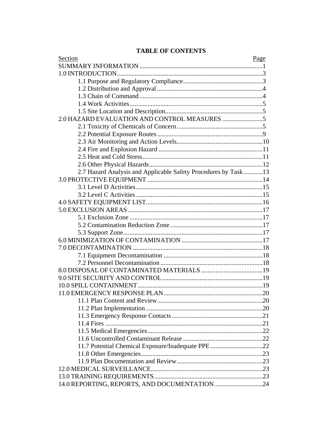# **TABLE OF CONTENTS**

| Section                                                        | Page |
|----------------------------------------------------------------|------|
|                                                                |      |
|                                                                |      |
|                                                                |      |
|                                                                |      |
|                                                                |      |
|                                                                |      |
|                                                                |      |
|                                                                |      |
|                                                                |      |
|                                                                |      |
|                                                                |      |
|                                                                |      |
|                                                                |      |
|                                                                |      |
| 2.7 Hazard Analysis and Applicable Safety Procedures by Task13 |      |
|                                                                |      |
|                                                                |      |
|                                                                |      |
|                                                                |      |
|                                                                |      |
|                                                                |      |
|                                                                |      |
|                                                                |      |
|                                                                |      |
|                                                                |      |
|                                                                |      |
|                                                                |      |
|                                                                |      |
|                                                                |      |
|                                                                |      |
|                                                                |      |
|                                                                |      |
|                                                                |      |
|                                                                |      |
|                                                                |      |
|                                                                |      |
|                                                                |      |
| 11.7 Potential Chemical Exposure/Inadequate PPE 22             |      |
|                                                                |      |
|                                                                |      |
|                                                                |      |
|                                                                |      |
|                                                                |      |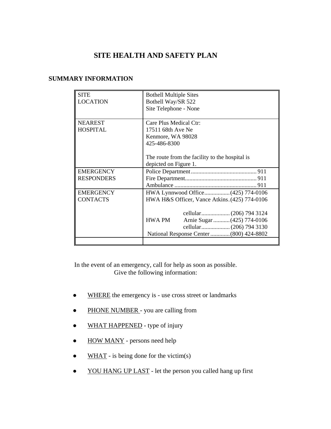# **SITE HEALTH AND SAFETY PLAN**

#### **SUMMARY INFORMATION**

| <b>SITE</b><br><b>LOCATION</b> | <b>Bothell Multiple Sites</b><br>Bothell Way/SR 522 |
|--------------------------------|-----------------------------------------------------|
|                                | Site Telephone - None                               |
| <b>NEAREST</b>                 | Care Plus Medical Ctr:                              |
| <b>HOSPITAL</b>                | 17511 68th Ave Ne                                   |
|                                | Kenmore, WA 98028                                   |
|                                | 425-486-8300                                        |
|                                |                                                     |
|                                | The route from the facility to the hospital is      |
|                                | depicted on Figure 1.                               |
| <b>EMERGENCY</b>               |                                                     |
| <b>RESPONDERS</b>              |                                                     |
|                                |                                                     |
| <b>EMERGENCY</b>               | HWA Lynnwood Office(425) 774-0106                   |
| <b>CONTACTS</b>                | HWA H&S Officer, Vance Atkins. (425) 774-0106       |
|                                |                                                     |
|                                |                                                     |
|                                | Arnie Sugar  (425) 774-0106<br><b>HWA PM</b>        |
|                                |                                                     |
|                                | National Response Center  (800) 424-8802            |
|                                |                                                     |

In the event of an emergency, call for help as soon as possible. Give the following information:

- WHERE the emergency is use cross street or landmarks
- PHONE NUMBER you are calling from
- WHAT HAPPENED type of injury
- HOW MANY persons need help
- $\bullet$  WHAT is being done for the victim(s)
- YOU HANG UP LAST let the person you called hang up first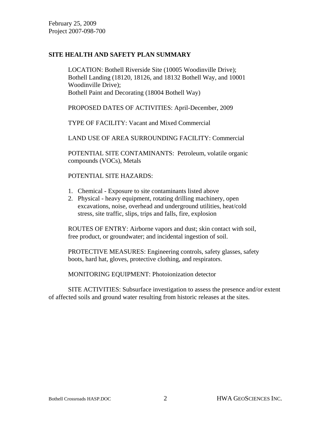#### **SITE HEALTH AND SAFETY PLAN SUMMARY**

 LOCATION: Bothell Riverside Site (10005 Woodinville Drive); Bothell Landing (18120, 18126, and 18132 Bothell Way, and 10001 Woodinville Drive); Bothell Paint and Decorating (18004 Bothell Way)

PROPOSED DATES OF ACTIVITIES: April-December, 2009

TYPE OF FACILITY: Vacant and Mixed Commercial

LAND USE OF AREA SURROUNDING FACILITY: Commercial

 POTENTIAL SITE CONTAMINANTS: Petroleum, volatile organic compounds (VOCs), Metals

POTENTIAL SITE HAZARDS:

- 1. Chemical Exposure to site contaminants listed above
- 2. Physical heavy equipment, rotating drilling machinery, open excavations, noise, overhead and underground utilities, heat/cold stress, site traffic, slips, trips and falls, fire, explosion

 ROUTES OF ENTRY: Airborne vapors and dust; skin contact with soil, free product, or groundwater; and incidental ingestion of soil.

 PROTECTIVE MEASURES: Engineering controls, safety glasses, safety boots, hard hat, gloves, protective clothing, and respirators.

MONITORING EQUIPMENT: Photoionization detector

 SITE ACTIVITIES: Subsurface investigation to assess the presence and/or extent of affected soils and ground water resulting from historic releases at the sites.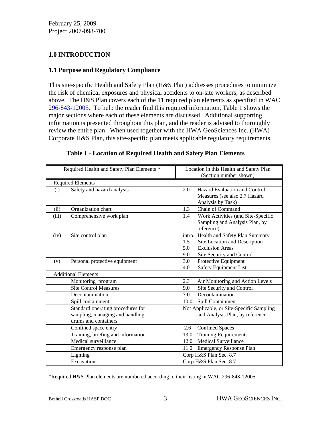# **1.0 INTRODUCTION**

#### **1.1 Purpose and Regulatory Compliance**

This site-specific Health and Safety Plan (H&S Plan) addresses procedures to minimize the risk of chemical exposures and physical accidents to on-site workers, as described above. The H&S Plan covers each of the 11 required plan elements as specified in WAC 296-843-12005. To help the reader find this required information, Table 1 shows the major sections where each of these elements are discussed. Additional supporting information is presented throughout this plan, and the reader is advised to thoroughly review the entire plan. When used together with the HWA GeoSciences Inc. (HWA) Corporate H&S Plan, this site-specific plan meets applicable regulatory requirements.

|       | Required Health and Safety Plan Elements *                                                   | Location in this Health and Safety Plan<br>(Section number shown)                                                                                  |  |
|-------|----------------------------------------------------------------------------------------------|----------------------------------------------------------------------------------------------------------------------------------------------------|--|
|       | <b>Required Elements</b>                                                                     |                                                                                                                                                    |  |
| (i)   | Safety and hazard analysis                                                                   | <b>Hazard Evaluation and Control</b><br>2.0<br>Measures (see also 2.7 Hazard<br>Analysis by Task)                                                  |  |
| (ii)  | Organization chart                                                                           | Chain of Command<br>1.3                                                                                                                            |  |
| (iii) | Comprehensive work plan                                                                      | Work Activities (and Site-Specific<br>1.4<br>Sampling and Analysis Plan, by<br>reference)                                                          |  |
| (iv)  | Site control plan                                                                            | intro. Health and Safety Plan Summary<br>Site Location and Description<br>1.5<br><b>Exclusion Areas</b><br>5.0<br>9.0<br>Site Security and Control |  |
| (v)   | Personal protective equipment                                                                | 3.0<br>Protective Equipment<br>Safety Equipment List<br>4.0                                                                                        |  |
|       | <b>Additional Elements</b>                                                                   |                                                                                                                                                    |  |
|       | Monitoring program                                                                           | 2.3<br>Air Monitoring and Action Levels                                                                                                            |  |
|       | <b>Site Control Measures</b>                                                                 | Site Security and Control<br>9.0                                                                                                                   |  |
|       | Decontamination                                                                              | Decontamination<br>7.0                                                                                                                             |  |
|       | Spill containment                                                                            | Spill Containment<br>10.0                                                                                                                          |  |
|       | Standard operating procedures for<br>sampling, managing and handling<br>drums and containers | Not Applicable, or Site-Specific Sampling<br>and Analysis Plan, by reference                                                                       |  |
|       | Confined space entry                                                                         | <b>Confined Spaces</b><br>2.6                                                                                                                      |  |
|       | Training, briefing and information                                                           | Training Requirements<br>13.0                                                                                                                      |  |
|       | Medical surveillance                                                                         | <b>Medical Surveillance</b><br>12.0                                                                                                                |  |
|       | Emergency response plan                                                                      | Emergency Response Plan<br>11.0                                                                                                                    |  |
|       | Lighting                                                                                     | Corp H&S Plan Sec. 8.7                                                                                                                             |  |
|       | Excavations                                                                                  | Corp H&S Plan Sec. 8.7                                                                                                                             |  |

#### **Table 1 - Location of Required Health and Safety Plan Elements**

\*Required H&S Plan elements are numbered according to their listing in WAC 296-843-12005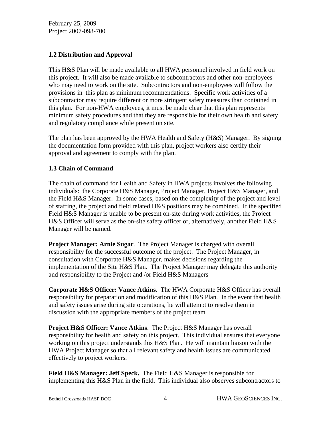#### **1.2 Distribution and Approval**

This H&S Plan will be made available to all HWA personnel involved in field work on this project. It will also be made available to subcontractors and other non-employees who may need to work on the site. Subcontractors and non-employees will follow the provisions in this plan as minimum recommendations. Specific work activities of a subcontractor may require different or more stringent safety measures than contained in this plan. For non-HWA employees, it must be made clear that this plan represents minimum safety procedures and that they are responsible for their own health and safety and regulatory compliance while present on site.

The plan has been approved by the HWA Health and Safety (H&S) Manager. By signing the documentation form provided with this plan, project workers also certify their approval and agreement to comply with the plan.

# **1.3 Chain of Command**

The chain of command for Health and Safety in HWA projects involves the following individuals: the Corporate H&S Manager, Project Manager, Project H&S Manager, and the Field H&S Manager. In some cases, based on the complexity of the project and level of staffing, the project and field related H&S positions may be combined. If the specified Field H&S Manager is unable to be present on-site during work activities, the Project H&S Officer will serve as the on-site safety officer or, alternatively, another Field H&S Manager will be named.

**Project Manager: Arnie Sugar**. The Project Manager is charged with overall responsibility for the successful outcome of the project. The Project Manager, in consultation with Corporate H&S Manager, makes decisions regarding the implementation of the Site H&S Plan. The Project Manager may delegate this authority and responsibility to the Project and /or Field H&S Managers

**Corporate H&S Officer: Vance Atkins**. The HWA Corporate H&S Officer has overall responsibility for preparation and modification of this H&S Plan. In the event that health and safety issues arise during site operations, he will attempt to resolve them in discussion with the appropriate members of the project team.

**Project H&S Officer: Vance Atkins**. The Project H&S Manager has overall responsibility for health and safety on this project. This individual ensures that everyone working on this project understands this H&S Plan. He will maintain liaison with the HWA Project Manager so that all relevant safety and health issues are communicated effectively to project workers.

**Field H&S Manager: Jeff Speck.** The Field H&S Manager is responsible for implementing this H&S Plan in the field. This individual also observes subcontractors to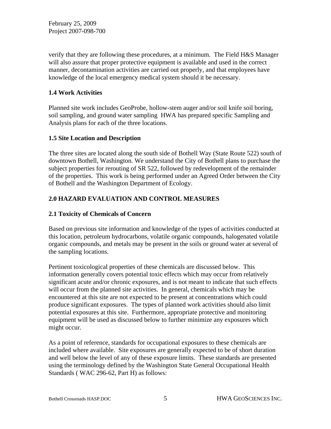verify that they are following these procedures, at a minimum. The Field H&S Manager will also assure that proper protective equipment is available and used in the correct manner, decontamination activities are carried out properly, and that employees have knowledge of the local emergency medical system should it be necessary.

#### **1.4 Work Activities**

Planned site work includes GeoProbe, hollow-stem auger and/or soil knife soil boring, soil sampling, and ground water sampling HWA has prepared specific Sampling and Analysis plans for each of the three locations.

#### **1.5 Site Location and Description**

The three sites are located along the south side of Bothell Way (State Route 522) south of downtown Bothell, Washington. We understand the City of Bothell plans to purchase the subject properties for rerouting of SR 522, followed by redevelopment of the remainder of the properties. This work is being performed under an Agreed Order between the City of Bothell and the Washington Department of Ecology.

# **2.0 HAZARD EVALUATION AND CONTROL MEASURES**

# **2.1 Toxicity of Chemicals of Concern**

Based on previous site information and knowledge of the types of activities conducted at this location, petroleum hydrocarbons, volatile organic compounds, halogenated volatile organic compounds, and metals may be present in the soils or ground water at several of the sampling locations.

Pertinent toxicological properties of these chemicals are discussed below. This information generally covers potential toxic effects which may occur from relatively significant acute and/or chronic exposures, and is not meant to indicate that such effects will occur from the planned site activities. In general, chemicals which may be encountered at this site are not expected to be present at concentrations which could produce significant exposures. The types of planned work activities should also limit potential exposures at this site. Furthermore, appropriate protective and monitoring equipment will be used as discussed below to further minimize any exposures which might occur.

As a point of reference, standards for occupational exposures to these chemicals are included where available. Site exposures are generally expected to be of short duration and well below the level of any of these exposure limits. These standards are presented using the terminology defined by the Washington State General Occupational Health Standards ( WAC 296-62, Part H) as follows: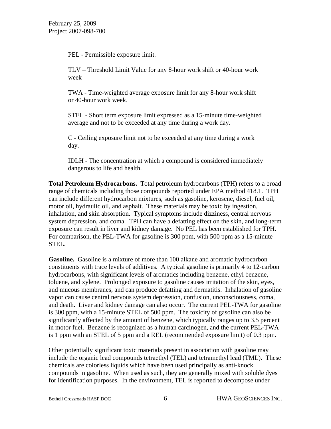PEL - Permissible exposure limit.

 TLV – Threshold Limit Value for any 8-hour work shift or 40-hour work week

TWA - Time-weighted average exposure limit for any 8-hour work shift or 40-hour work week.

 STEL - Short term exposure limit expressed as a 15-minute time-weighted average and not to be exceeded at any time during a work day.

 C - Ceiling exposure limit not to be exceeded at any time during a work day.

 IDLH - The concentration at which a compound is considered immediately dangerous to life and health.

**Total Petroleum Hydrocarbons.** Total petroleum hydrocarbons (TPH) refers to a broad range of chemicals including those compounds reported under EPA method 418.1. TPH can include different hydrocarbon mixtures, such as gasoline, kerosene, diesel, fuel oil, motor oil, hydraulic oil, and asphalt. These materials may be toxic by ingestion, inhalation, and skin absorption. Typical symptoms include dizziness, central nervous system depression, and coma. TPH can have a defatting effect on the skin, and long-term exposure can result in liver and kidney damage. No PEL has been established for TPH. For comparison, the PEL-TWA for gasoline is 300 ppm, with 500 ppm as a 15-minute STEL.

**Gasoline.** Gasoline is a mixture of more than 100 alkane and aromatic hydrocarbon constituents with trace levels of additives. A typical gasoline is primarily 4 to 12-carbon hydrocarbons, with significant levels of aromatics including benzene, ethyl benzene, toluene, and xylene. Prolonged exposure to gasoline causes irritation of the skin, eyes, and mucous membranes, and can produce defatting and dermatitis. Inhalation of gasoline vapor can cause central nervous system depression, confusion, unconsciousness, coma, and death. Liver and kidney damage can also occur. The current PEL-TWA for gasoline is 300 ppm, with a 15-minute STEL of 500 ppm. The toxicity of gasoline can also be significantly affected by the amount of benzene, which typically ranges up to 3.5 percent in motor fuel. Benzene is recognized as a human carcinogen, and the current PEL-TWA is 1 ppm with an STEL of 5 ppm and a REL (recommended exposure limit) of 0.3 ppm.

Other potentially significant toxic materials present in association with gasoline may include the organic lead compounds tetraethyl (TEL) and tetramethyl lead (TML). These chemicals are colorless liquids which have been used principally as anti-knock compounds in gasoline. When used as such, they are generally mixed with soluble dyes for identification purposes. In the environment, TEL is reported to decompose under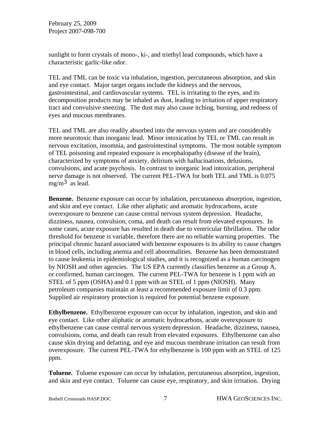sunlight to form crystals of mono-, ki-, and triethyl lead compounds, which have a characteristic garlic-like odor.

TEL and TML can be toxic via inhalation, ingestion, percutaneous absorption, and skin and eye contact. Major target organs include the kidneys and the nervous, gastrointestinal, and cardiovascular systems. TEL is irritating to the eyes, and its decomposition products may be inhaled as dust, leading to irritation of upper respiratory tract and convulsive sneezing. The dust may also cause itching, burning, and redness of eyes and mucous membranes.

TEL and TML are also readily absorbed into the nervous system and are considerably more neurotoxic than inorganic lead. Minor intoxication by TEL or TML can result in nervous excitation, insomnia, and gastrointestinal symptoms. The most notable symptom of TEL poisoning and repeated exposure is encephalopathy (disease of the brain), characterized by symptoms of anxiety, delirium with hallucinations, delusions, convulsions, and acute psychosis. In contrast to inorganic lead intoxication, peripheral nerve damage is not observed. The current PEL-TWA for both TEL and TML is 0.075 mg/m<sup>3</sup> as lead.

**Benzene.** Benzene exposure can occur by inhalation, percutaneous absorption, ingestion, and skin and eye contact. Like other aliphatic and aromatic hydrocarbons, acute overexposure to benzene can cause central nervous system depression. Headache, dizziness, nausea, convulsion, coma, and death can result from elevated exposures. In some cases, acute exposure has resulted in death due to ventricular fibrillation. The odor threshold for benzene is variable, therefore there are no reliable warning properties. The principal chronic hazard associated with benzene exposures is its ability to cause changes in blood cells, including anemia and cell abnormalities. Benzene has been demonstrated to cause leukemia in epidemiological studies, and it is recognized as a human carcinogen by NIOSH and other agencies. The US EPA currently classifies benzene as a Group A, or confirmed, human carcinogen. The current PEL-TWA for benzene is 1 ppm with an STEL of 5 ppm (OSHA) and 0.1 ppm with an STEL of 1 ppm (NIOSH). Many petroleum companies maintain at least a recommended exposure limit of 0.3 ppm. Supplied air respiratory protection is required for potential benzene exposure.

**Ethylbenzene.** Ethylbenzene exposure can occur by inhalation, ingestion, and skin and eye contact. Like other aliphatic or aromatic hydrocarbons, acute overexposure to ethylbenzene can cause central nervous system depression. Headache, dizziness, nausea, convulsions, coma, and death can result from elevated exposures. Ethylbenzene can also cause skin drying and defatting, and eye and mucous membrane irritation can result from overexposure. The current PEL-TWA for ethylbenzene is 100 ppm with an STEL of 125 ppm.

**Toluene.** Toluene exposure can occur by inhalation, percutaneous absorption, ingestion, and skin and eye contact. Toluene can cause eye, respiratory, and skin irritation. Drying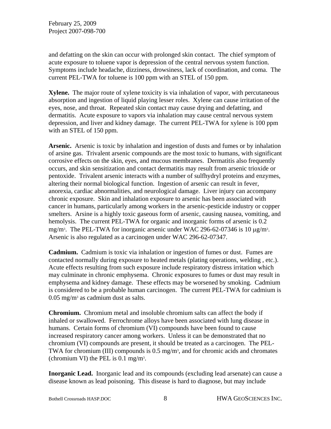and defatting on the skin can occur with prolonged skin contact. The chief symptom of acute exposure to toluene vapor is depression of the central nervous system function. Symptoms include headache, dizziness, drowsiness, lack of coordination, and coma. The current PEL-TWA for toluene is 100 ppm with an STEL of 150 ppm.

**Xylene.** The major route of xylene toxicity is via inhalation of vapor, with percutaneous absorption and ingestion of liquid playing lesser roles. Xylene can cause irritation of the eyes, nose, and throat. Repeated skin contact may cause drying and defatting, and dermatitis. Acute exposure to vapors via inhalation may cause central nervous system depression, and liver and kidney damage. The current PEL-TWA for xylene is 100 ppm with an STEL of 150 ppm.

**Arsenic.** Arsenic is toxic by inhalation and ingestion of dusts and fumes or by inhalation of arsine gas. Trivalent arsenic compounds are the most toxic to humans, with significant corrosive effects on the skin, eyes, and mucous membranes. Dermatitis also frequently occurs, and skin sensitization and contact dermatitis may result from arsenic trioxide or pentoxide. Trivalent arsenic interacts with a number of sulfhydryl proteins and enzymes, altering their normal biological function. Ingestion of arsenic can result in fever, anorexia, cardiac abnormalities, and neurological damage. Liver injury can accompany chronic exposure. Skin and inhalation exposure to arsenic has been associated with cancer in humans, particularly among workers in the arsenic-pesticide industry or copper smelters. Arsine is a highly toxic gaseous form of arsenic, causing nausea, vomiting, and hemolysis. The current PEL-TWA for organic and inorganic forms of arsenic is  $0.2$ mg/m<sup>3</sup>. The PEL-TWA for inorganic arsenic under WAC 296-62-07346 is 10 μg/m<sup>3</sup>. Arsenic is also regulated as a carcinogen under WAC 296-62-07347.

**Cadmium.** Cadmium is toxic via inhalation or ingestion of fumes or dust. Fumes are contacted normally during exposure to heated metals (plating operations, welding , etc.). Acute effects resulting from such exposure include respiratory distress irritation which may culminate in chronic emphysema. Chronic exposures to fumes or dust may result in emphysema and kidney damage. These effects may be worsened by smoking. Cadmium is considered to be a probable human carcinogen. The current PEL-TWA for cadmium is  $0.05$  mg/m<sup>3</sup> as cadmium dust as salts.

**Chromium.** Chromium metal and insoluble chromium salts can affect the body if inhaled or swallowed. Ferrochrome alloys have been associated with lung disease in humans. Certain forms of chromium (VI) compounds have been found to cause increased respiratory cancer among workers. Unless it can be demonstrated that no chromium (VI) compounds are present, it should be treated as a carcinogen. The PEL-TWA for chromium (III) compounds is  $0.5 \text{ mg/m}^3$ , and for chromic acids and chromates (chromium VI) the PEL is 0.1 mg/m3.

**Inorganic Lead.** Inorganic lead and its compounds (excluding lead arsenate) can cause a disease known as lead poisoning. This disease is hard to diagnose, but may include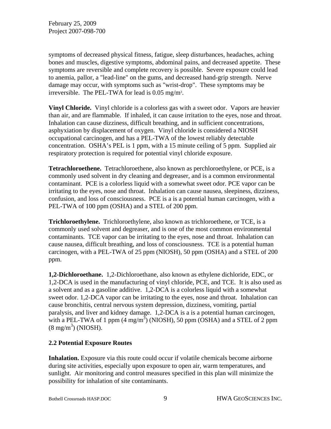symptoms of decreased physical fitness, fatigue, sleep disturbances, headaches, aching bones and muscles, digestive symptoms, abdominal pains, and decreased appetite. These symptoms are reversible and complete recovery is possible. Severe exposure could lead to anemia, pallor, a "lead-line" on the gums, and decreased hand-grip strength. Nerve damage may occur, with symptoms such as "wrist-drop". These symptoms may be irreversible. The PEL-TWA for lead is 0.05 mg/m3.

**Vinyl Chloride.** Vinyl chloride is a colorless gas with a sweet odor. Vapors are heavier than air, and are flammable. If inhaled, it can cause irritation to the eyes, nose and throat. Inhalation can cause dizziness, difficult breathing, and in sufficient concentrations, asphyxiation by displacement of oxygen. Vinyl chloride is considered a NIOSH occupational carcinogen, and has a PEL-TWA of the lowest reliably detectable concentration. OSHA's PEL is 1 ppm, with a 15 minute ceiling of 5 ppm. Supplied air respiratory protection is required for potential vinyl chloride exposure.

**Tetrachloroethene.** Tetrachloroethene, also known as perchloroethylene, or PCE, is a commonly used solvent in dry cleaning and degreaser, and is a common environmental contaminant. PCE is a colorless liquid with a somewhat sweet odor. PCE vapor can be irritating to the eyes, nose and throat. Inhalation can cause nausea, sleepiness, dizziness, confusion, and loss of consciousness. PCE is a is a potential human carcinogen, with a PEL-TWA of 100 ppm (OSHA) and a STEL of 200 ppm.

**Trichloroethylene.** Trichloroethylene, also known as trichloroethene, or TCE, is a commonly used solvent and degreaser, and is one of the most common environmental contaminants. TCE vapor can be irritating to the eyes, nose and throat. Inhalation can cause nausea, difficult breathing, and loss of consciousness. TCE is a potential human carcinogen, with a PEL-TWA of 25 ppm (NIOSH), 50 ppm (OSHA) and a STEL of 200 ppm.

**1,2-Dichloroethane.** 1,2-Dichloroethane, also known as ethylene dichloride, EDC, or 1,2-DCA is used in the manufacturing of vinyl chloride, PCE, and TCE. It is also used as a solvent and as a gasoline additive. 1,2-DCA is a colorless liquid with a somewhat sweet odor. 1,2-DCA vapor can be irritating to the eyes, nose and throat. Inhalation can cause bronchitis, central nervous system depression, dizziness, vomiting, partial paralysis, and liver and kidney damage. 1,2-DCA is a is a potential human carcinogen, with a PEL-TWA of 1 ppm  $(4 \text{ mg/m}^3)$  (NIOSH), 50 ppm (OSHA) and a STEL of 2 ppm  $(8 \text{ mg/m}^3)$  (NIOSH).

#### **2.2 Potential Exposure Routes**

**Inhalation.** Exposure via this route could occur if volatile chemicals become airborne during site activities, especially upon exposure to open air, warm temperatures, and sunlight. Air monitoring and control measures specified in this plan will minimize the possibility for inhalation of site contaminants.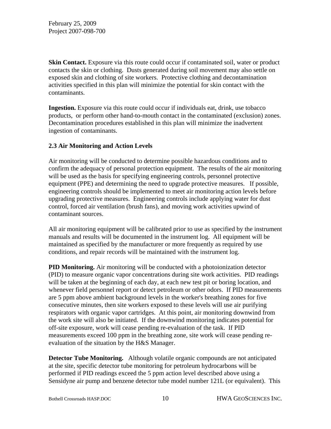**Skin Contact.** Exposure via this route could occur if contaminated soil, water or product contacts the skin or clothing. Dusts generated during soil movement may also settle on exposed skin and clothing of site workers. Protective clothing and decontamination activities specified in this plan will minimize the potential for skin contact with the contaminants.

**Ingestion.** Exposure via this route could occur if individuals eat, drink, use tobacco products, or perform other hand-to-mouth contact in the contaminated (exclusion) zones. Decontamination procedures established in this plan will minimize the inadvertent ingestion of contaminants.

#### **2.3 Air Monitoring and Action Levels**

Air monitoring will be conducted to determine possible hazardous conditions and to confirm the adequacy of personal protection equipment. The results of the air monitoring will be used as the basis for specifying engineering controls, personnel protective equipment (PPE) and determining the need to upgrade protective measures. If possible, engineering controls should be implemented to meet air monitoring action levels before upgrading protective measures. Engineering controls include applying water for dust control, forced air ventilation (brush fans), and moving work activities upwind of contaminant sources.

All air monitoring equipment will be calibrated prior to use as specified by the instrument manuals and results will be documented in the instrument log. All equipment will be maintained as specified by the manufacturer or more frequently as required by use conditions, and repair records will be maintained with the instrument log.

**PID Monitoring.** Air monitoring will be conducted with a photoionization detector (PID) to measure organic vapor concentrations during site work activities. PID readings will be taken at the beginning of each day, at each new test pit or boring location, and whenever field personnel report or detect petroleum or other odors. If PID measurements are 5 ppm above ambient background levels in the worker's breathing zones for five consecutive minutes, then site workers exposed to these levels will use air purifying respirators with organic vapor cartridges. At this point, air monitoring downwind from the work site will also be initiated. If the downwind monitoring indicates potential for off-site exposure, work will cease pending re-evaluation of the task. If PID measurements exceed 100 ppm in the breathing zone, site work will cease pending reevaluation of the situation by the H&S Manager.

**Detector Tube Monitoring.** Although volatile organic compounds are not anticipated at the site, specific detector tube monitoring for petroleum hydrocarbons will be performed if PID readings exceed the 5 ppm action level described above using a Sensidyne air pump and benzene detector tube model number 121L (or equivalent). This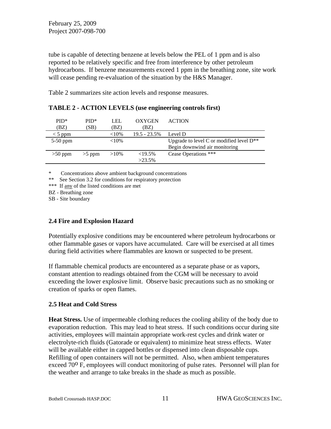tube is capable of detecting benzene at levels below the PEL of 1 ppm and is also reported to be relatively specific and free from interference by other petroleum hydrocarbons. If benzene measurements exceed 1 ppm in the breathing zone, site work will cease pending re-evaluation of the situation by the H&S Manager.

Table 2 summarizes site action levels and response measures.

| $PID*$<br>(BZ) | $PID*$<br>(SB) | LEL<br>(BZ | <b>OXYGEN</b><br>(BZ) | <b>ACTION</b>                                 |
|----------------|----------------|------------|-----------------------|-----------------------------------------------|
| $<$ 5 ppm      |                | ${<}10\%$  | $19.5 - 23.5\%$       | Level D                                       |
| $5-50$ ppm     |                | ${<}10\%$  |                       | Upgrade to level C or modified level $D^{**}$ |
|                |                |            |                       | Begin downwind air monitoring                 |
| $>50$ ppm      | $>5$ ppm       | $>10\%$    | ${<}19.5\%$           | Cease Operations ***                          |
|                |                |            | $>23.5\%$             |                                               |

| <b>TABLE 2 - ACTION LEVELS (use engineering controls first)</b> |  |
|-----------------------------------------------------------------|--|
|-----------------------------------------------------------------|--|

\* Concentrations above ambient background concentrations

\*\* See Section 3.2 for conditions for respiratory protection

\*\*\* If any of the listed conditions are met

BZ - Breathing zone

SB - Site boundary

# **2.4 Fire and Explosion Hazard**

Potentially explosive conditions may be encountered where petroleum hydrocarbons or other flammable gases or vapors have accumulated. Care will be exercised at all times during field activities where flammables are known or suspected to be present.

If flammable chemical products are encountered as a separate phase or as vapors, constant attention to readings obtained from the CGM will be necessary to avoid exceeding the lower explosive limit. Observe basic precautions such as no smoking or creation of sparks or open flames.

# **2.5 Heat and Cold Stress**

**Heat Stress.** Use of impermeable clothing reduces the cooling ability of the body due to evaporation reduction. This may lead to heat stress. If such conditions occur during site activities, employees will maintain appropriate work-rest cycles and drink water or electrolyte-rich fluids (Gatorade or equivalent) to minimize heat stress effects. Water will be available either in capped bottles or dispensed into clean disposable cups. Refilling of open containers will not be permitted. Also, when ambient temperatures exceed  $70^{\circ}$  F, employees will conduct monitoring of pulse rates. Personnel will plan for the weather and arrange to take breaks in the shade as much as possible.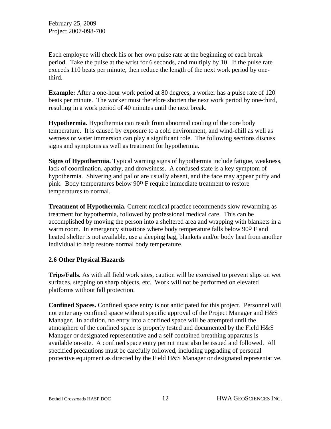Each employee will check his or her own pulse rate at the beginning of each break period. Take the pulse at the wrist for 6 seconds, and multiply by 10. If the pulse rate exceeds 110 beats per minute, then reduce the length of the next work period by onethird.

**Example:** After a one-hour work period at 80 degrees, a worker has a pulse rate of 120 beats per minute. The worker must therefore shorten the next work period by one-third, resulting in a work period of 40 minutes until the next break.

**Hypothermia.** Hypothermia can result from abnormal cooling of the core body temperature. It is caused by exposure to a cold environment, and wind-chill as well as wetness or water immersion can play a significant role. The following sections discuss signs and symptoms as well as treatment for hypothermia.

**Signs of Hypothermia.** Typical warning signs of hypothermia include fatigue, weakness, lack of coordination, apathy, and drowsiness. A confused state is a key symptom of hypothermia. Shivering and pallor are usually absent, and the face may appear puffy and pink. Body temperatures below 90<sup>o</sup> F require immediate treatment to restore temperatures to normal.

**Treatment of Hypothermia.** Current medical practice recommends slow rewarming as treatment for hypothermia, followed by professional medical care. This can be accomplished by moving the person into a sheltered area and wrapping with blankets in a warm room. In emergency situations where body temperature falls below 90<sup>o</sup> F and heated shelter is not available, use a sleeping bag, blankets and/or body heat from another individual to help restore normal body temperature.

#### **2.6 Other Physical Hazards**

**Trips/Falls.** As with all field work sites, caution will be exercised to prevent slips on wet surfaces, stepping on sharp objects, etc. Work will not be performed on elevated platforms without fall protection.

**Confined Spaces.** Confined space entry is not anticipated for this project. Personnel will not enter any confined space without specific approval of the Project Manager and H&S Manager. In addition, no entry into a confined space will be attempted until the atmosphere of the confined space is properly tested and documented by the Field H&S Manager or designated representative and a self contained breathing apparatus is available on-site. A confined space entry permit must also be issued and followed. All specified precautions must be carefully followed, including upgrading of personal protective equipment as directed by the Field H&S Manager or designated representative.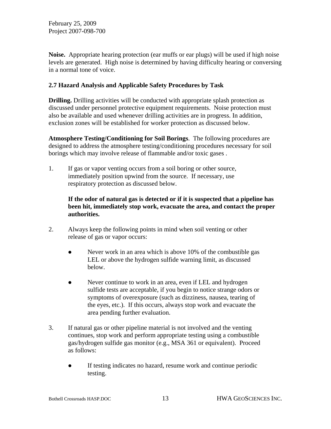**Noise.** Appropriate hearing protection (ear muffs or ear plugs) will be used if high noise levels are generated. High noise is determined by having difficulty hearing or conversing in a normal tone of voice.

#### **2.7 Hazard Analysis and Applicable Safety Procedures by Task**

**Drilling.** Drilling activities will be conducted with appropriate splash protection as discussed under personnel protective equipment requirements. Noise protection must also be available and used whenever drilling activities are in progress. In addition, exclusion zones will be established for worker protection as discussed below.

**Atmosphere Testing/Conditioning for Soil Borings**. The following procedures are designed to address the atmosphere testing/conditioning procedures necessary for soil borings which may involve release of flammable and/or toxic gases .

1. If gas or vapor venting occurs from a soil boring or other source, immediately position upwind from the source. If necessary, use respiratory protection as discussed below.

#### **If the odor of natural gas is detected or if it is suspected that a pipeline has been hit, immediately stop work, evacuate the area, and contact the proper authorities.**

- 2. Always keep the following points in mind when soil venting or other release of gas or vapor occurs:
	- Never work in an area which is above 10% of the combustible gas LEL or above the hydrogen sulfide warning limit, as discussed below.
	- Never continue to work in an area, even if LEL and hydrogen sulfide tests are acceptable, if you begin to notice strange odors or symptoms of overexposure (such as dizziness, nausea, tearing of the eyes, etc.). If this occurs, always stop work and evacuate the area pending further evaluation.
- 3. If natural gas or other pipeline material is not involved and the venting continues, stop work and perform appropriate testing using a combustible gas/hydrogen sulfide gas monitor (e.g., MSA 361 or equivalent). Proceed as follows:
	- If testing indicates no hazard, resume work and continue periodic testing.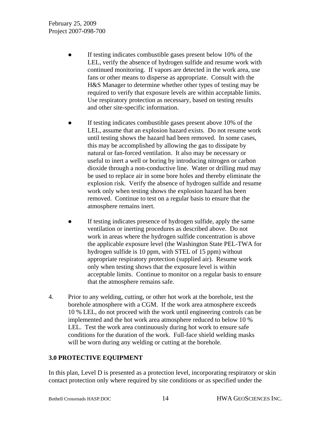- If testing indicates combustible gases present below 10% of the LEL, verify the absence of hydrogen sulfide and resume work with continued monitoring. If vapors are detected in the work area, use fans or other means to disperse as appropriate. Consult with the H&S Manager to determine whether other types of testing may be required to verify that exposure levels are within acceptable limits. Use respiratory protection as necessary, based on testing results and other site-specific information.
- If testing indicates combustible gases present above 10% of the LEL, assume that an explosion hazard exists. Do not resume work until testing shows the hazard had been removed. In some cases, this may be accomplished by allowing the gas to dissipate by natural or fan-forced ventilation. It also may be necessary or useful to inert a well or boring by introducing nitrogen or carbon dioxide through a non-conductive line. Water or drilling mud may be used to replace air in some bore holes and thereby eliminate the explosion risk. Verify the absence of hydrogen sulfide and resume work only when testing shows the explosion hazard has been removed. Continue to test on a regular basis to ensure that the atmosphere remains inert.
- If testing indicates presence of hydrogen sulfide, apply the same ventilation or inerting procedures as described above. Do not work in areas where the hydrogen sulfide concentration is above the applicable exposure level (the Washington State PEL-TWA for hydrogen sulfide is 10 ppm, with STEL of 15 ppm) without appropriate respiratory protection (supplied air). Resume work only when testing shows that the exposure level is within acceptable limits. Continue to monitor on a regular basis to ensure that the atmosphere remains safe.
- 4. Prior to any welding, cutting, or other hot work at the borehole, test the borehole atmosphere with a CGM. If the work area atmosphere exceeds 10 % LEL, do not proceed with the work until engineering controls can be implemented and the hot work area atmosphere reduced to below 10 % LEL. Test the work area continuously during hot work to ensure safe conditions for the duration of the work. Full-face shield welding masks will be worn during any welding or cutting at the borehole.

# **3.0 PROTECTIVE EQUIPMENT**

In this plan, Level D is presented as a protection level, incorporating respiratory or skin contact protection only where required by site conditions or as specified under the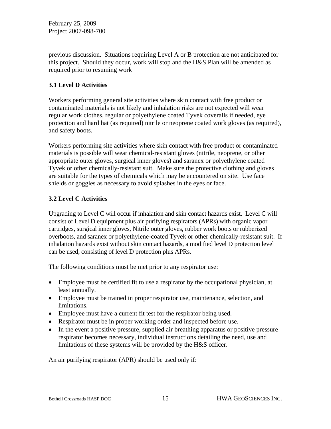previous discussion. Situations requiring Level A or B protection are not anticipated for this project. Should they occur, work will stop and the H&S Plan will be amended as required prior to resuming work

# **3.1 Level D Activities**

Workers performing general site activities where skin contact with free product or contaminated materials is not likely and inhalation risks are not expected will wear regular work clothes, regular or polyethylene coated Tyvek coveralls if needed, eye protection and hard hat (as required) nitrile or neoprene coated work gloves (as required), and safety boots.

Workers performing site activities where skin contact with free product or contaminated materials is possible will wear chemical-resistant gloves (nitrile, neoprene, or other appropriate outer gloves, surgical inner gloves) and saranex or polyethylene coated Tyvek or other chemically-resistant suit. Make sure the protective clothing and gloves are suitable for the types of chemicals which may be encountered on site. Use face shields or goggles as necessary to avoid splashes in the eyes or face.

# **3.2 Level C Activities**

Upgrading to Level C will occur if inhalation and skin contact hazards exist. Level C will consist of Level D equipment plus air purifying respirators (APRs) with organic vapor cartridges, surgical inner gloves, Nitrile outer gloves, rubber work boots or rubberized overboots, and saranex or polyethylene-coated Tyvek or other chemically-resistant suit. If inhalation hazards exist without skin contact hazards, a modified level D protection level can be used, consisting of level D protection plus APRs.

The following conditions must be met prior to any respirator use:

- Employee must be certified fit to use a respirator by the occupational physician, at least annually.
- Employee must be trained in proper respirator use, maintenance, selection, and limitations.
- Employee must have a current fit test for the respirator being used.
- Respirator must be in proper working order and inspected before use.
- In the event a positive pressure, supplied air breathing apparatus or positive pressure respirator becomes necessary, individual instructions detailing the need, use and limitations of these systems will be provided by the H&S officer.

An air purifying respirator (APR) should be used only if: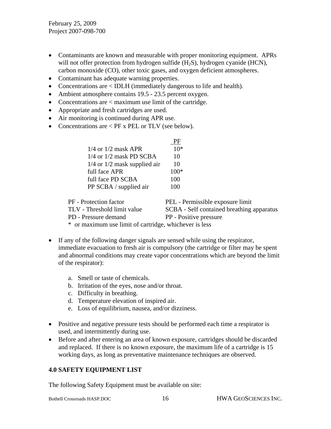- Contaminants are known and measurable with proper monitoring equipment. APRs will not offer protection from hydrogen sulfide (H<sub>2</sub>S), hydrogen cyanide (HCN), carbon monoxide (CO), other toxic gases, and oxygen deficient atmospheres.
- Contaminant has adequate warning properties.
- Concentrations are < IDLH (immediately dangerous to life and health).
- Ambient atmosphere contains 19.5 23.5 percent oxygen.
- Concentrations are  $\langle$  maximum use limit of the cartridge.
- Appropriate and fresh cartridges are used.
- Air monitoring is continued during APR use.
- Concentrations are < PF x PEL or TLV (see below).

|                                  | PF                               |
|----------------------------------|----------------------------------|
| $1/4$ or $1/2$ mask APR          | $10*$                            |
| $1/4$ or $1/2$ mask PD SCBA      | 10                               |
| $1/4$ or $1/2$ mask supplied air | 10                               |
| full face APR                    | $100*$                           |
| full face PD SCBA                | 100                              |
| PP SCBA / supplied air           | 100                              |
|                                  |                                  |
| Protection factor                | PEL - Permissible exposure limit |

PF - Protection factor PEL - Permissible exposure limit TLV - Threshold limit value SCBA - Self contained breathing apparatus PD - Pressure demand PP - Positive pressure \* or maximum use limit of cartridge, whichever is less

- If any of the following danger signals are sensed while using the respirator, immediate evacuation to fresh air is compulsory (the cartridge or filter may be spent and abnormal conditions may create vapor concentrations which are beyond the limit of the respirator):
	- a. Smell or taste of chemicals.
	- b. Irritation of the eyes, nose and/or throat.
	- c. Difficulty in breathing.
	- d. Temperature elevation of inspired air.
	- e. Loss of equilibrium, nausea, and/or dizziness.
- Positive and negative pressure tests should be performed each time a respirator is used, and intermittently during use.
- Before and after entering an area of known exposure, cartridges should be discarded and replaced. If there is no known exposure, the maximum life of a cartridge is 15 working days, as long as preventative maintenance techniques are observed.

# **4.0 SAFETY EQUIPMENT LIST**

The following Safety Equipment must be available on site: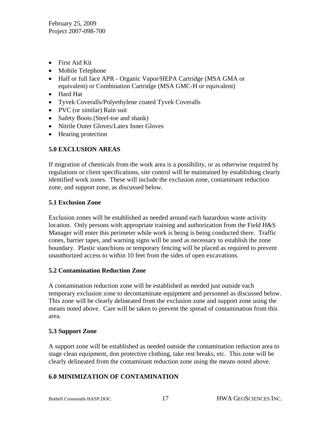- First Aid Kit
- Mobile Telephone
- Half or full face APR Organic Vapor/HEPA Cartridge (MSA GMA or equivalent) or Combination Cartridge (MSA GMC-H or equivalent)
- Hard Hat
- Tyvek Coveralls/Polyethylene coated Tyvek Coveralls
- PVC (or similar) Rain suit
- Safety Boots (Steel-toe and shank)
- Nitrile Outer Gloves/Latex Inner Gloves
- Hearing protection

# **5.0 EXCLUSION AREAS**

If migration of chemicals from the work area is a possibility, or as otherwise required by regulations or client specifications, site control will be maintained by establishing clearly identified work zones. These will include the exclusion zone, contaminant reduction zone, and support zone, as discussed below.

#### **5.1 Exclusion Zone**

Exclusion zones will be established as needed around each hazardous waste activity location. Only persons with appropriate training and authorization from the Field H&S Manager will enter this perimeter while work is being is being conducted there. Traffic cones, barrier tapes, and warning signs will be used as necessary to establish the zone boundary. Plastic stanchions or temporary fencing will be placed as required to prevent unauthorized access to within 10 feet from the sides of open excavations.

#### **5.2 Contamination Reduction Zone**

A contamination reduction zone will be established as needed just outside each temporary exclusion zone to decontaminate equipment and personnel as discussed below. This zone will be clearly delineated from the exclusion zone and support zone using the means noted above. Care will be taken to prevent the spread of contamination from this area.

#### **5.3 Support Zone**

A support zone will be established as needed outside the contamination reduction area to stage clean equipment, don protective clothing, take rest breaks, etc. This zone will be clearly delineated from the contaminant reduction zone using the means noted above.

#### **6.0 MINIMIZATION OF CONTAMINATION**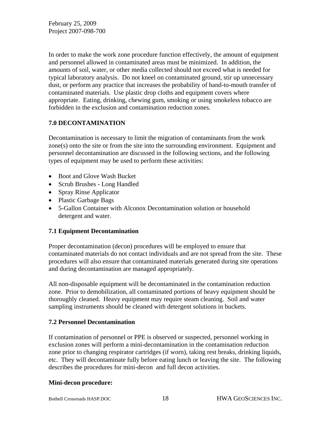In order to make the work zone procedure function effectively, the amount of equipment and personnel allowed in contaminated areas must be minimized. In addition, the amounts of soil, water, or other media collected should not exceed what is needed for typical laboratory analysis. Do not kneel on contaminated ground, stir up unnecessary dust, or perform any practice that increases the probability of hand-to-mouth transfer of contaminated materials. Use plastic drop cloths and equipment covers where appropriate. Eating, drinking, chewing gum, smoking or using smokeless tobacco are forbidden in the exclusion and contamination reduction zones.

# **7.0 DECONTAMINATION**

Decontamination is necessary to limit the migration of contaminants from the work zone(s) onto the site or from the site into the surrounding environment. Equipment and personnel decontamination are discussed in the following sections, and the following types of equipment may be used to perform these activities:

- Boot and Glove Wash Bucket
- Scrub Brushes Long Handled
- Spray Rinse Applicator
- Plastic Garbage Bags
- 5-Gallon Container with Alconox Decontamination solution or household detergent and water.

#### **7.1 Equipment Decontamination**

Proper decontamination (decon) procedures will be employed to ensure that contaminated materials do not contact individuals and are not spread from the site. These procedures will also ensure that contaminated materials generated during site operations and during decontamination are managed appropriately.

All non-disposable equipment will be decontaminated in the contamination reduction zone. Prior to demobilization, all contaminated portions of heavy equipment should be thoroughly cleaned. Heavy equipment may require steam cleaning. Soil and water sampling instruments should be cleaned with detergent solutions in buckets.

#### **7.2 Personnel Decontamination**

If contamination of personnel or PPE is observed or suspected, personnel working in exclusion zones will perform a mini-decontamination in the contamination reduction zone prior to changing respirator cartridges (if worn), taking rest breaks, drinking liquids, etc. They will decontaminate fully before eating lunch or leaving the site. The following describes the procedures for mini-decon and full decon activities.

#### **Mini-decon procedure:**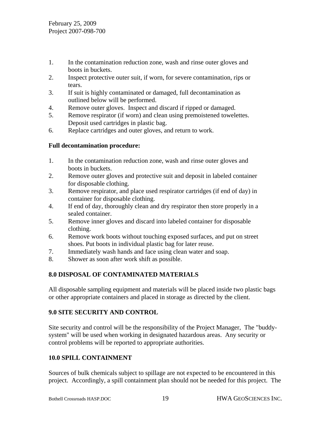- 1. In the contamination reduction zone, wash and rinse outer gloves and boots in buckets.
- 2. Inspect protective outer suit, if worn, for severe contamination, rips or tears.
- 3. If suit is highly contaminated or damaged, full decontamination as outlined below will be performed.
- 4. Remove outer gloves. Inspect and discard if ripped or damaged.
- 5. Remove respirator (if worn) and clean using premoistened towelettes. Deposit used cartridges in plastic bag.
- 6. Replace cartridges and outer gloves, and return to work.

# **Full decontamination procedure:**

- 1. In the contamination reduction zone, wash and rinse outer gloves and boots in buckets.
- 2. Remove outer gloves and protective suit and deposit in labeled container for disposable clothing.
- 3. Remove respirator, and place used respirator cartridges (if end of day) in container for disposable clothing.
- 4. If end of day, thoroughly clean and dry respirator then store properly in a sealed container.
- 5. Remove inner gloves and discard into labeled container for disposable clothing.
- 6. Remove work boots without touching exposed surfaces, and put on street shoes. Put boots in individual plastic bag for later reuse.
- 7. Immediately wash hands and face using clean water and soap.
- 8. Shower as soon after work shift as possible.

# **8.0 DISPOSAL OF CONTAMINATED MATERIALS**

All disposable sampling equipment and materials will be placed inside two plastic bags or other appropriate containers and placed in storage as directed by the client.

# **9.0 SITE SECURITY AND CONTROL**

Site security and control will be the responsibility of the Project Manager, The "buddysystem" will be used when working in designated hazardous areas. Any security or control problems will be reported to appropriate authorities.

# **10.0 SPILL CONTAINMENT**

Sources of bulk chemicals subject to spillage are not expected to be encountered in this project. Accordingly, a spill containment plan should not be needed for this project. The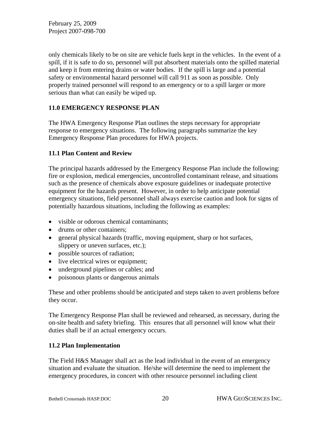only chemicals likely to be on site are vehicle fuels kept in the vehicles. In the event of a spill, if it is safe to do so, personnel will put absorbent materials onto the spilled material and keep it from entering drains or water bodies. If the spill is large and a potential safety or environmental hazard personnel will call 911 as soon as possible. Only properly trained personnel will respond to an emergency or to a spill larger or more serious than what can easily be wiped up.

# **11.0 EMERGENCY RESPONSE PLAN**

The HWA Emergency Response Plan outlines the steps necessary for appropriate response to emergency situations. The following paragraphs summarize the key Emergency Response Plan procedures for HWA projects.

#### **11.1 Plan Content and Review**

The principal hazards addressed by the Emergency Response Plan include the following: fire or explosion, medical emergencies, uncontrolled contaminant release, and situations such as the presence of chemicals above exposure guidelines or inadequate protective equipment for the hazards present. However, in order to help anticipate potential emergency situations, field personnel shall always exercise caution and look for signs of potentially hazardous situations, including the following as examples:

- visible or odorous chemical contaminants:
- drums or other containers:
- general physical hazards (traffic, moving equipment, sharp or hot surfaces, slippery or uneven surfaces, etc.);
- possible sources of radiation;
- live electrical wires or equipment;
- underground pipelines or cables; and
- poisonous plants or dangerous animals

These and other problems should be anticipated and steps taken to avert problems before they occur.

The Emergency Response Plan shall be reviewed and rehearsed, as necessary, during the on-site health and safety briefing. This ensures that all personnel will know what their duties shall be if an actual emergency occurs.

# **11.2 Plan Implementation**

The Field H&S Manager shall act as the lead individual in the event of an emergency situation and evaluate the situation. He/she will determine the need to implement the emergency procedures, in concert with other resource personnel including client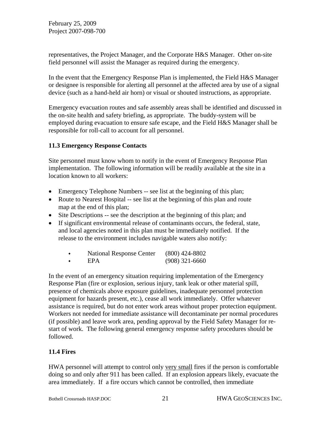representatives, the Project Manager, and the Corporate H&S Manager. Other on-site field personnel will assist the Manager as required during the emergency.

In the event that the Emergency Response Plan is implemented, the Field H&S Manager or designee is responsible for alerting all personnel at the affected area by use of a signal device (such as a hand-held air horn) or visual or shouted instructions, as appropriate.

Emergency evacuation routes and safe assembly areas shall be identified and discussed in the on-site health and safety briefing, as appropriate. The buddy-system will be employed during evacuation to ensure safe escape, and the Field H&S Manager shall be responsible for roll-call to account for all personnel.

# **11.3 Emergency Response Contacts**

Site personnel must know whom to notify in the event of Emergency Response Plan implementation. The following information will be readily available at the site in a location known to all workers:

- Emergency Telephone Numbers -- see list at the beginning of this plan;
- Route to Nearest Hospital -- see list at the beginning of this plan and route map at the end of this plan;
- Site Descriptions -- see the description at the beginning of this plan; and
- If significant environmental release of contaminants occurs, the federal, state, and local agencies noted in this plan must be immediately notified. If the release to the environment includes navigable waters also notify:

| <b>National Response Center</b> | $(800)$ 424-8802 |
|---------------------------------|------------------|
| EPA                             | $(908)$ 321-6660 |

In the event of an emergency situation requiring implementation of the Emergency Response Plan (fire or explosion, serious injury, tank leak or other material spill, presence of chemicals above exposure guidelines, inadequate personnel protection equipment for hazards present, etc.), cease all work immediately. Offer whatever assistance is required, but do not enter work areas without proper protection equipment. Workers not needed for immediate assistance will decontaminate per normal procedures (if possible) and leave work area, pending approval by the Field Safety Manager for restart of work. The following general emergency response safety procedures should be followed.

# **11.4 Fires**

HWA personnel will attempt to control only very small fires if the person is comfortable doing so and only after 911 has been called. If an explosion appears likely, evacuate the area immediately. If a fire occurs which cannot be controlled, then immediate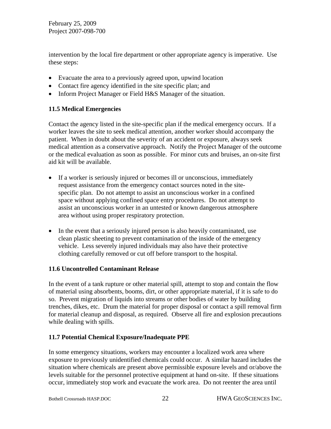intervention by the local fire department or other appropriate agency is imperative. Use these steps:

- Evacuate the area to a previously agreed upon, upwind location
- Contact fire agency identified in the site specific plan; and
- Inform Project Manager or Field H&S Manager of the situation.

# **11.5 Medical Emergencies**

Contact the agency listed in the site-specific plan if the medical emergency occurs. If a worker leaves the site to seek medical attention, another worker should accompany the patient. When in doubt about the severity of an accident or exposure, always seek medical attention as a conservative approach. Notify the Project Manager of the outcome or the medical evaluation as soon as possible. For minor cuts and bruises, an on-site first aid kit will be available.

- If a worker is seriously injured or becomes ill or unconscious, immediately request assistance from the emergency contact sources noted in the sitespecific plan. Do not attempt to assist an unconscious worker in a confined space without applying confined space entry procedures. Do not attempt to assist an unconscious worker in an untested or known dangerous atmosphere area without using proper respiratory protection.
- In the event that a seriously injured person is also heavily contaminated, use clean plastic sheeting to prevent contamination of the inside of the emergency vehicle. Less severely injured individuals may also have their protective clothing carefully removed or cut off before transport to the hospital.

#### **11.6 Uncontrolled Contaminant Release**

In the event of a tank rupture or other material spill, attempt to stop and contain the flow of material using absorbents, booms, dirt, or other appropriate material, if it is safe to do so. Prevent migration of liquids into streams or other bodies of water by building trenches, dikes, etc. Drum the material for proper disposal or contact a spill removal firm for material cleanup and disposal, as required. Observe all fire and explosion precautions while dealing with spills.

# **11.7 Potential Chemical Exposure/Inadequate PPE**

In some emergency situations, workers may encounter a localized work area where exposure to previously unidentified chemicals could occur. A similar hazard includes the situation where chemicals are present above permissible exposure levels and or/above the levels suitable for the personnel protective equipment at hand on-site. If these situations occur, immediately stop work and evacuate the work area. Do not reenter the area until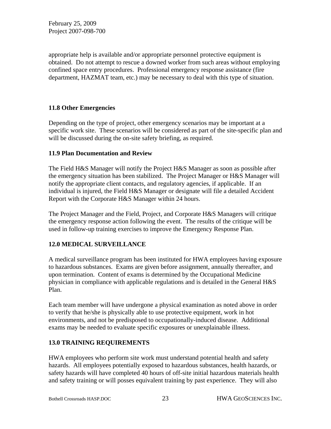appropriate help is available and/or appropriate personnel protective equipment is obtained. Do not attempt to rescue a downed worker from such areas without employing confined space entry procedures. Professional emergency response assistance (fire department, HAZMAT team, etc.) may be necessary to deal with this type of situation.

# **11.8 Other Emergencies**

Depending on the type of project, other emergency scenarios may be important at a specific work site. These scenarios will be considered as part of the site-specific plan and will be discussed during the on-site safety briefing, as required.

# **11.9 Plan Documentation and Review**

The Field H&S Manager will notify the Project H&S Manager as soon as possible after the emergency situation has been stabilized. The Project Manager or H&S Manager will notify the appropriate client contacts, and regulatory agencies, if applicable. If an individual is injured, the Field H&S Manager or designate will file a detailed Accident Report with the Corporate H&S Manager within 24 hours.

The Project Manager and the Field, Project, and Corporate H&S Managers will critique the emergency response action following the event. The results of the critique will be used in follow-up training exercises to improve the Emergency Response Plan.

# **12.0 MEDICAL SURVEILLANCE**

A medical surveillance program has been instituted for HWA employees having exposure to hazardous substances. Exams are given before assignment, annually thereafter, and upon termination. Content of exams is determined by the Occupational Medicine physician in compliance with applicable regulations and is detailed in the General H&S Plan.

Each team member will have undergone a physical examination as noted above in order to verify that he/she is physically able to use protective equipment, work in hot environments, and not be predisposed to occupationally-induced disease. Additional exams may be needed to evaluate specific exposures or unexplainable illness.

# **13.0 TRAINING REQUIREMENTS**

HWA employees who perform site work must understand potential health and safety hazards. All employees potentially exposed to hazardous substances, health hazards, or safety hazards will have completed 40 hours of off-site initial hazardous materials health and safety training or will posses equivalent training by past experience. They will also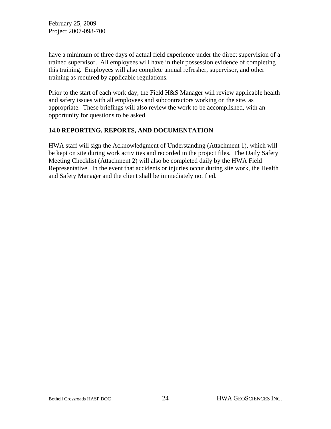have a minimum of three days of actual field experience under the direct supervision of a trained supervisor. All employees will have in their possession evidence of completing this training. Employees will also complete annual refresher, supervisor, and other training as required by applicable regulations.

Prior to the start of each work day, the Field H&S Manager will review applicable health and safety issues with all employees and subcontractors working on the site, as appropriate. These briefings will also review the work to be accomplished, with an opportunity for questions to be asked.

# **14.0 REPORTING, REPORTS, AND DOCUMENTATION**

HWA staff will sign the Acknowledgment of Understanding (Attachment 1), which will be kept on site during work activities and recorded in the project files. The Daily Safety Meeting Checklist (Attachment 2) will also be completed daily by the HWA Field Representative. In the event that accidents or injuries occur during site work, the Health and Safety Manager and the client shall be immediately notified.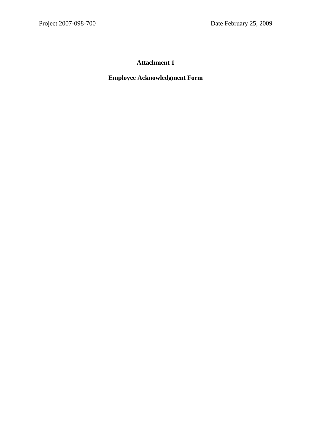# **Attachment 1**

# **Employee Acknowledgment Form**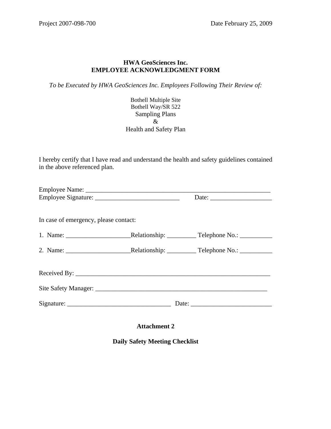#### **HWA GeoSciences Inc. EMPLOYEE ACKNOWLEDGMENT FORM**

*To be Executed by HWA GeoSciences Inc. Employees Following Their Review of:* 

Bothell Multiple Site Bothell Way/SR 522 Sampling Plans & Health and Safety Plan

I hereby certify that I have read and understand the health and safety guidelines contained in the above referenced plan.

| In case of emergency, please contact: |  |  |
|---------------------------------------|--|--|
|                                       |  |  |
|                                       |  |  |
|                                       |  |  |
|                                       |  |  |
|                                       |  |  |
|                                       |  |  |
|                                       |  |  |
|                                       |  |  |

**Attachment 2** 

**Daily Safety Meeting Checklist**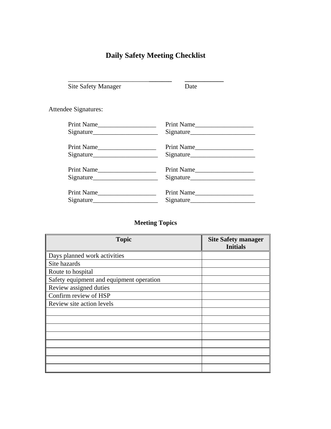# **Daily Safety Meeting Checklist**

\_\_\_\_\_\_\_\_\_\_\_\_\_\_\_\_\_\_\_\_\_\_\_\_\_**\_\_\_\_\_\_\_ \_\_\_\_\_\_\_\_\_\_\_\_**

| <b>Site Safety Manager</b> | Date       |
|----------------------------|------------|
| Attendee Signatures:       |            |
| Print Name                 | Print Name |
|                            |            |
| Print Name                 | Print Name |
|                            |            |
| Print Name                 | Print Name |
|                            |            |
| Print Name                 | Print Name |
|                            |            |

# **Meeting Topics**

| <b>Topic</b>                             | <b>Site Safety manager</b><br><b>Initials</b> |
|------------------------------------------|-----------------------------------------------|
| Days planned work activities             |                                               |
| Site hazards                             |                                               |
| Route to hospital                        |                                               |
| Safety equipment and equipment operation |                                               |
| Review assigned duties                   |                                               |
| Confirm review of HSP                    |                                               |
| Review site action levels                |                                               |
|                                          |                                               |
|                                          |                                               |
|                                          |                                               |
|                                          |                                               |
|                                          |                                               |
|                                          |                                               |
|                                          |                                               |
|                                          |                                               |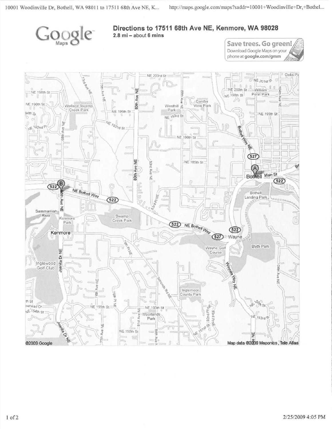

#### Directions to 17511 68th Ave NE, Kenmore, WA 98028  $2.8$  mi - about 6 mins